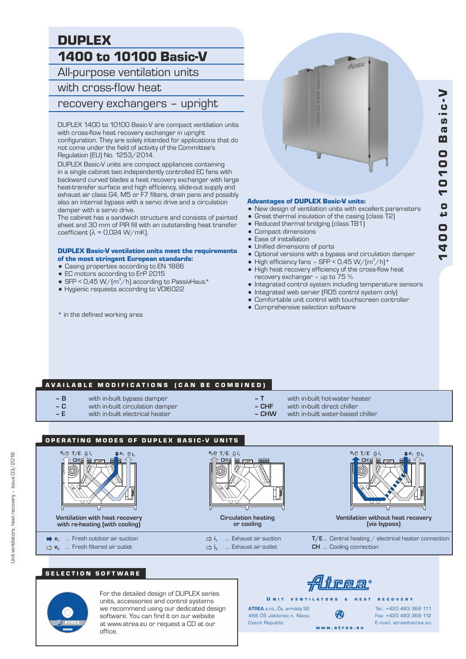# DUPLEX 1400 to 10100 Basic-V

All-purpose ventilation units

# with cross-flow heat

recovery exchangers – upright

DUPLEX 1400 to 10100 Basic-V are compact ventilation units with cross-flow heat recovery exchanger in upright configuration. They are solely intended for applications that do not come under the field of activity of the Committee's Regulation (EU) No. 1253/2014.

DUPLEX Basic-V units are compact appliances containing in a single cabinet two independently controlled EC fans with backward curved blades a heat recovery exchanger with large heat-transfer surface and high efficiency, slide-out supply and exhaust air class G4, M5 or F7 filters, drain pans and possibly also an internal bypass with a servo drive and a circulation damper with a servo drive.

The cabinet has a sandwich structure and consists of painted sheet and 30 mm of PIR fill with an outstanding heat transfer coefficient  $[λ = 0,024 W/mK]$ .

#### DUPLEX Basic-V ventilation units meet the requirements of the most stringent European standards:

- = Casing properties according to EN 1886
- EC motors according to ErP 2015
- SFP < 0,45 W/ $(m^3/h)$  according to PassivHaus\*
- = Hygienic requests according to VDI6022
- 

Altan

#### Advantages of DUPLEX Basic-V units:

- New design of ventilation units with excellent parameters
- Great thermal insulation of the casing (class T2)
- Reduced thermal bridging (class TB1)
- Compact dimensions
- $\bullet$  Ease of installation
- Unified dimensions of ports
- Optional versions with a bypass and circulation damper
- High efficiency fans SFP < 0,45 W/ $(m^3/h)^*$
- High heat recovery efficiency of the cross-flow heat recovery exchanger – up to 75 %
- $\bullet$  Integrated control system including temperature sensors
- Integrated web server (RD5 control system only)
- Comfortable unit control with touchscreen controller
- Comprehensive selection software

## AVAILABLE MODIFICATIONS (CAN BE COMBINED)

- **B** with in-built bypass damper<br> **C** with in-built circulation dam
- **C** with in-built circulation damper
- with in-built electrical heater
- 
- **T** with in-built hot-water heater **– CHF** with in-built direct chiller
	- **CHW** with in-built water-based chiller



## SELECTION SOFTWARE



Unit ventilators, heat recovery – issue 03/2018

Jnit ventilators, heat recovery - issue 03/2018

For the detailed design of DUPLEX series units, accessories and control systems we recommend using our dedicated design software. You can find it on our website at www.atrea.eu or request a CD at our office.

<u> Alirear</u>

**ATREA** s.r.o., Čs. armády 32 U N IT VENTILATORS & HEAT RECOVERY

Czech Republic

w w w . a t r e a . e u 466 05 Jablonec n. Nisou

Fax: +420 483 368 112 E-mail: atrea@atrea.eu Tel.: +420 483 368 111

\* in the defined working area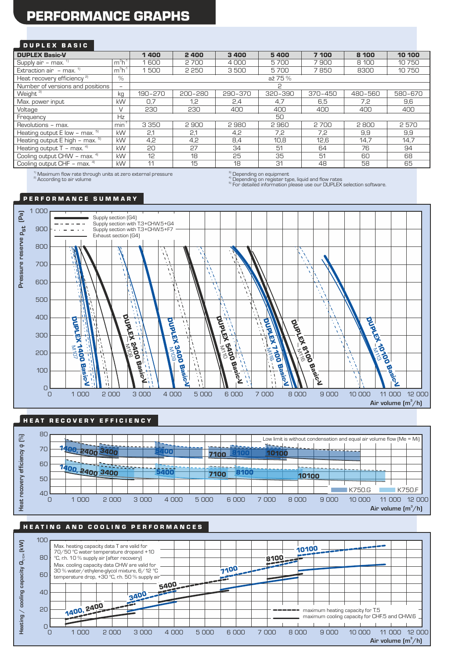# PERFORMANCE GRAPHS

### DUPLEX BASIC

| <b>DUPLEX Basic-V</b>                  |                  | 1400    | 2400    | 3400    | 5400    | 7 100       | 8 100   | 10 100  |
|----------------------------------------|------------------|---------|---------|---------|---------|-------------|---------|---------|
| Supply air - max. <sup>1)</sup>        | $m3h-1$          | 1600    | 2 700   | 4000    | 5700    | 7900        | 8 100   | 10750   |
| Extraction air $-$ max. $1$            | $m3h-1$          | 1500    | 2 2 5 0 | 3500    | 5700    | 7850        | 8300    | 10750   |
| Heat recovery efficiency <sup>2)</sup> | $\%$             | až 75 % |         |         |         |             |         |         |
| Number of versions and positions       | $-$              | ς       |         |         |         |             |         |         |
| Weight <sup>3)</sup>                   | kg               | 190-270 | 200-280 | 290-370 | 320-390 | $370 - 450$ | 480-560 | 580-670 |
| Max. power input                       | kW               | 0.7     | 1.2     | 2.4     | 4.7     | 6.5         | 7.2     | 9.6     |
| Voltage                                | $\vee$           | 230     | 230     | 400     | 400     | 400         | 400     | 400     |
| Frequency                              | Hz               | 50      |         |         |         |             |         |         |
| Revolutions - max.                     | min <sup>1</sup> | 3 3 5 0 | 2900    | 2980    | 2960    | 2700        | 2800    | 2570    |
| Heating output $E$ low - max. $5$      | kW               | 2.1     | 2.1     | 4.2     | 7.2     | 7.2         | 9.9     | 9.9     |
| Heating output $E$ high – max. $5$     | kW               | 4.2     | 4.2     | 8.4     | 10.8    | 12,6        | 14.7    | 14.7    |
| Heating output $T - \text{max.}^{4}$   | kW               | 20      | 27      | 34      | 51      | 64          | 76      | 94      |
| Cooling output CHW - max. 4)           | kW               | 12      | 18      | 25      | 35      | 51          | 60      | 68      |
| Cooling output CHF - max. 4)           | kW               | 11      | 15      | 18      | 31      | 48          | 58      | 65      |

 $\sqrt{1}$  Maximum flow rate through units at zero external pressure <sup>2)</sup> According to air volume

<sup>1</sup> Depending on equipment

<sup>4)</sup> Depending on register type, liquid and flow rates<br><sup>5)</sup> For detailed information please use our DUPLEX selection software.

P E R F O R M A N C E S U M M A R Y



#### HEAT RECOVERY EFFICIENCY



# HEATING AND COOLING PERFORMANCES

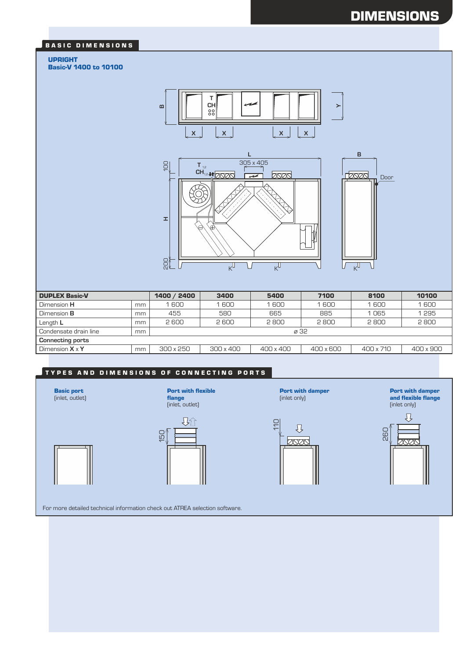# DIMENSIONS

#### BASIC DIMENSIONS

#### UPRIGHT

Basic-V 1400 to 10100



| <b>DUPLEX Basic-V</b>   |    | 1400 / 2400      | 3400             | 5400      | 7100      | 8100      | 10100            |
|-------------------------|----|------------------|------------------|-----------|-----------|-----------|------------------|
| Dimension <b>H</b>      | mm | 1600             | 1600             | 1600      | 1 600     | 1600      | 1600             |
| Dimension <b>B</b>      | mm | 455              | 580              | 665       | 885       | 1065      | 1295             |
| Length L                | mm | 2 600            | 2 600            | 2800      | 2800      | 2800      | 2800             |
| Condensate drain line   | mm | ø 32             |                  |           |           |           |                  |
| <b>Connecting ports</b> |    |                  |                  |           |           |           |                  |
| Dimension $X \times Y$  | mm | $300 \times 250$ | $300 \times 400$ | 400 x 400 | 400 x 600 | 400 x 710 | $400 \times 900$ |

## TYPES AND DIMENSIONS OF CONNECTING PORTS

Basic port (inlet, outlet)

(inlet, outlet) 身分  $150$ 

flange

Port with flexible

Port with damper (inlet only) 110  $\begin{picture}(20,5) \put(0,0) {\vector(0,1){10}} \put(15,0) {\vector(0,1){10}} \put(15,0) {\vector(0,1){10}} \put(15,0) {\vector(0,1){10}} \put(15,0) {\vector(0,1){10}} \put(15,0) {\vector(0,1){10}} \put(15,0) {\vector(0,1){10}} \put(15,0) {\vector(0,1){10}} \put(15,0) {\vector(0,1){10}} \put(15,0) {\vector(0,1){10}} \put(15,0) {\vector(0,1){10}} \put(15,0) {\vector(0,$  $\infty$ 

Port with damper and flexible flange (inlet only)



For more detailed technical information check out ATREA selection software.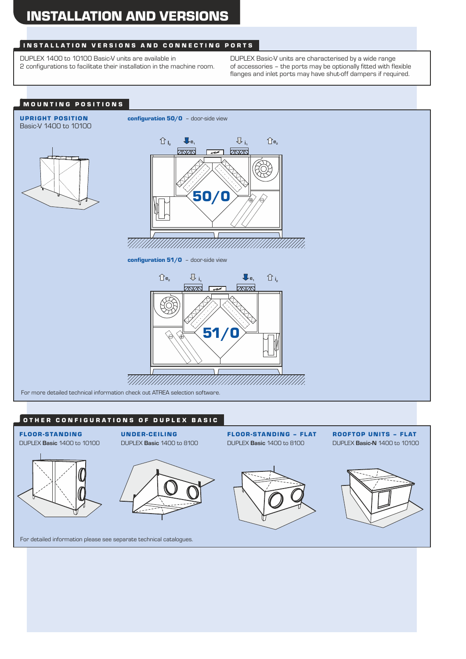### INSTALLATION VERSIONS AND CONNECTING PORTS

DUPLEX 1400 to 10100 Basic-V units are available in 2 configurations to facilitate their installation in the machine room. DUPLEX Basic-V units are characterised by a wide range of accessories – the ports may be optionally fitted with flexible flanges and inlet ports may have shut-off dampers if required.



### OTHER CONFIGURATIONS OF DUPLEX BASIC







FLOOR-STANDING – FLAT DUPLEX **Basic** 1400 to 8100



ROOFTOP UNITS – FLAT

For detailed information please see separate technical catalogues.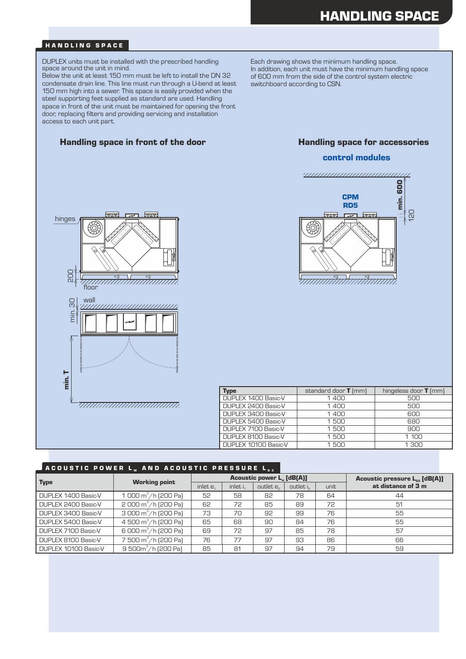#### HANDLING SPACE

DUPLEX units must be installed with the prescribed handling space around the unit in mind.

Below the unit at least 150 mm must be left to install the DN 32 condensate drain line. This line must run through a U-bend at least 150 mm high into a sewer. This space is easily provided when the steel supporting feet supplied as standard are used. Handling space in front of the unit must be maintained for opening the front door, replacing filters and providing servicing and installation access to each unit part.

#### Handling space in front of the door **Handling space for accessories**

Each drawing shows the minimum handling space. In addition, each unit must have the minimum handling space of 600 mm from the side of the control system electric switchboard according to CSN.

#### control modules





| <b>Type</b>          | standard door $T$ (mm) | hingeless door $T$ (mm) |
|----------------------|------------------------|-------------------------|
| DUPLEX 1400 Basic-V  | 1400                   | 500                     |
| DUPLEX 2400 Basic-V  | 1400                   | 500                     |
| DUPLEX 3400 Basic-V  | 1400                   | 600                     |
| DUPLEX 5400 Basic-V  | 1500                   | 680                     |
| DUPLEX 7100 Basic-V  | 1500                   | 900                     |
| DUPLEX 8100 Basic-V  | 1500                   | 1 1 0 0                 |
| DUPLEX 10100 Basic-V | 1.500                  | 1.300                   |

#### A COUSTIC POWER L.. AND ACOUSTIC PRESSURE L..

| Type                 | <b>Working point</b>                 |          |          | <b>Acoustic power L. [dB(A)]</b> | Acoustic pressure $L_{p3}$ [dB(A)] |      |                    |  |
|----------------------|--------------------------------------|----------|----------|----------------------------------|------------------------------------|------|--------------------|--|
|                      |                                      | inlet e. | inlet i, | outlet e <sub>2</sub>            | outlet is                          | unit | at distance of 3 m |  |
| DUPLEX 1400 Basic-V  | 1 000 $\text{m}^3/\text{h}$ (200 Pa) | 52       | 58       | 82                               | 78                                 | 64   | 44                 |  |
| DUPLEX 2400 Basic-V  | $2000 \text{ m}^3/\text{h}$ (200 Pa) | 62       | 72       | 85                               | 89                                 | 72   | 51                 |  |
| DUPLEX 3400 Basic-V  | 3 000 $m^3/h$ (200 Pa)               | 73       | 70       | 92                               | 99                                 | 76   | 55                 |  |
| DUPLEX 5400 Basic-V  | 4 500 m <sup>3</sup> /h (200 Pa)     | 65       | 68       | 90                               | 84                                 | 76   | 55                 |  |
| DUPLEX 7100 Basic-V  | 6 000 $m^3/h$ (200 Pa)               | 69       | 72       | 97                               | 85                                 | 78   | 57                 |  |
| DUPLEX 8100 Basic-V  | 7 500 m <sup>3</sup> /h (200 Pa)     | 76       | 77       | 97                               | 93                                 | 86   | 66                 |  |
| DUPLEX 10100 Basic-V | 9 500 $m^3/h$ (200 Pa)               | 85       | 81       | 97                               | 94                                 | 79   | 59                 |  |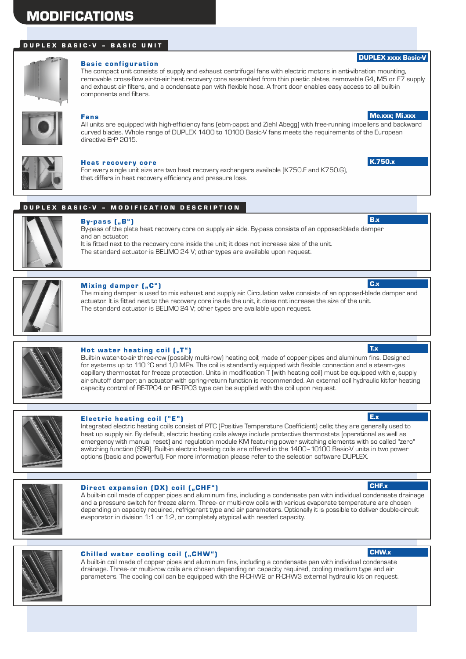# MODIFICATIONS

## D U P L E X B A S I C - V - B A S I C U N I T



### **Basic configuration**

The compact unit consists of supply and exhaust centrifugal fans with electric motors in anti-vibration mounting, removable cross-flow air-to-air heat recovery core assembled from thin plastic plates, removable G4, M5 or F7 supply and exhaust air filters, and a condensate pan with flexible hose. A front door enables easy access to all built-in components and filters.



#### Fans

All units are equipped with high-efficiency fans (ebm-papst and Ziehl Abegg) with free-running impellers and backward curved blades. Whole range of DUPLEX 1400 to 10100 Basic-V fans meets the requirements of the European directive ErP 2015.



#### Heat recovery core

For every single unit size are two heat recovery exchangers available (K750.F and K750.G), that differs in heat recovery efficiency and pressure loss.

### DUPLEX BASIC-V – MODIFICATION DESCRIPTION



# $By-pass$   $[, B"$

By-pass of the plate heat recovery core on supply air side. By-pass consists of an opposed-blade damper and an actuator.

It is fitted next to the recovery core inside the unit; it does not increase size of the unit. The standard actuator is BELIMO 24 V; other types are available upon request.



#### Mixing damper ("C")

The mixing damper is used to mix exhaust and supply air. Circulation valve consists of an opposed-blade damper and actuator. It is fitted next to the recovery core inside the unit, it does not increase the size of the unit. The standard actuator is BELIMO 24 V; other types are available upon request.



### Hot water heating coil  $(\sqrt{a}T^{\alpha})$

Built-in water-to-air three-row (possibly multi-row) heating coil; made of copper pipes and aluminum fins. Designed for systems up to 110 °C and 1,0 MPa. The coil is standardly equipped with flexible connection and a steam-gas capillary thermostat for freeze protection. Units in modification T (with heating coil) must be equipped with  $e_1$  supply air shutoff damper; an actuator with spring-return function is recommended. An external coil hydraulic kitfor heating capacity control of RE-TPO4 or RE-TPO3 type can be supplied with the coil upon request.



#### Electric heating coil ("E")

Integrated electric heating coils consist of PTC (Positive Temperature Coefficient) cells; they are generally used to heat up supply air. By default, electric heating coils always include protective thermostats (operational as well as emergency with manual reset) and regulation module KM featuring power switching elements with so called "zero" switching function (SSR). Built-in electric heating coils are offered in the 1400–10100 Basic-V units in two power options (basic and powerful). For more information please refer to the selection software DUPLEX.



#### Direct expansion (DX) coil ("CHF")

A built-in coil made of copper pipes and aluminum fins, including a condensate pan with individual condensate drainage and a pressure switch for freeze alarm. Three- or multi-row coils with various evaporate temperature are chosen depending on capacity required, refrigerant type and air parameters. Optionally it is possible to deliver double-circuit evaporator in division 1:1 or 1:2, or completely atypical with needed capacity.



#### Chilled water cooling coil ("CHW")

A built-in coil made of copper pipes and aluminum fins, including a condensate pan with individual condensate drainage. Three- or multi-row coils are chosen depending on capacity required, cooling medium type and air parameters. The cooling coil can be equipped with the R-CHW2 or R-CHW3 external hydraulic kit on request.

#### CHF.x

CHW.x

Me.xxx; Mi.xxx

DUPLEX xxxx Basic-V

K.750.x

B.x

C.x

T.x

E.x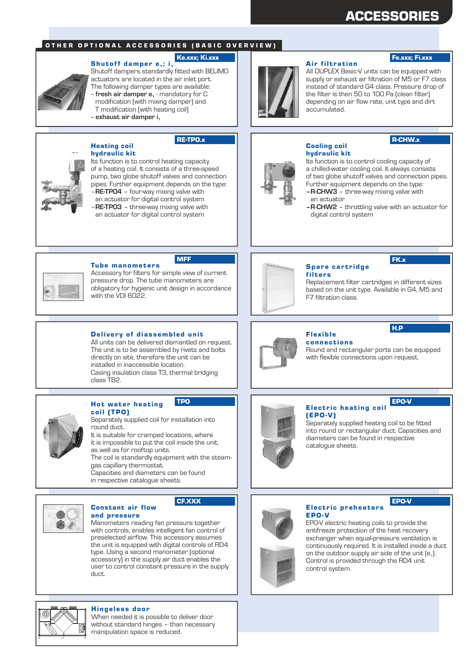# ACCESSORIES

#### OTHER OPTIONAL ACCESSORIES (BASIC OVERVIEW)

### Ke.xxx; Ki.xxx

Shutoff damper  $e_1$ ; i<sub>1</sub> Shutoff dampers standardly fitted with BELIMO actuators are located in the air inlet port. The following damper types are available: fresh air damper e<sub>1</sub> - mandatory for C modification (with mixing damper) and T modification (with heating coil) -- **exhaust air damper i<sup>1</sup>**

### RE-TPO.x



Heating coil

hydraulic kit Its function is to control heating capacity of a heating coil. It consists of a three-speed pump, two globe shutoff valves and connection pipes. Further equipment depends on the type: –**RE-TPO4** – four-way mixing valve with an actuator for digital control system –**RE-TPO3** – three-way mixing valve with an actuator for digital control system



#### **Air filtration**

Cooling coil hydraulic kit

#### Fe.xxx; Fi.xxx

All DUPLEX Basic-V units can be equipped with supply or exhaust air filtration of M5 or F7 class instead of standard G4 class. Pressure drop of the filter is then 50 to 100 Pa (clean filter) depending on air flow rate, unit type and dirt accumulated.

# R-CHW.x

Its function is to control cooling capacity of a chilled-water cooling coil. It always consists of two globe shutoff valves and connection pipes. Further equipment depends on the type:

- **–R-CHW3** three-way mixing valve with an actuator
- **–R**-**CHW2** throttling valve with an actuator for digital control system

#### **Tube manometers** MFF

Accessory for filters for simple view of current pressure drop. The tube manometers are obligatory for hygienic unit design in accordance with the VDI 6022.

#### Delivery of diassembled unit

All units can be delivered dismantled on request. The unit is to be assembled by rivets and bolts directly on site, therefore the unit can be installed in inaccessible location. Casing insulation class T3, thermal bridging class TB2.



# Hot water heating

coil (TPO) Separately supplied coil for installation into round duct.

It is suitable for cramped locations, where it is impossible to put the coil inside the unit, as well as for rooftop units. The coil is standardly equipment with the steamgas capillary thermostat. Capacities and diameters can be found

in respective catalogue sheets.



#### Constant air flow CF.XXX

and pressure Manometers reading fan pressure together with controls, enables intelligent fan control of preselected airflow. This accessory assumes the unit is equipped with digital controls of RD4 type. Using a second manometer (optional accessory) in the supply air duct enables the user to control constant pressure in the supply duct.



# Spare cartridge

filters Replacement filter cartridges in different sizes based on the unit type. Available in G4, M5 and F7 filtration class.

FK.x

H.P



### Flex ible

EPO-V

**connections** Round and rectangular ports can be equipped with flexible connections upon request.



# TPO EPO-V

(EPO-V) Separately supplied heating coil to be fitted into round or rectangular duct. Capacities and diameters can be found in respective catalogue sheets.



### Electric preheaters EPO-V

EPO-V electric heating coils to provide the antifreeze protection of the heat recovery exchanger when equal-pressure ventilation is continuously required. It is installed inside a duct on the outdoor supply air side of the unit  $[e_1]$ . Control is provided through the RD4 unit control system.



#### Hingeless door

When needed it is possible to deliver door without standard hinges – than necessary manipulation space is reduced.